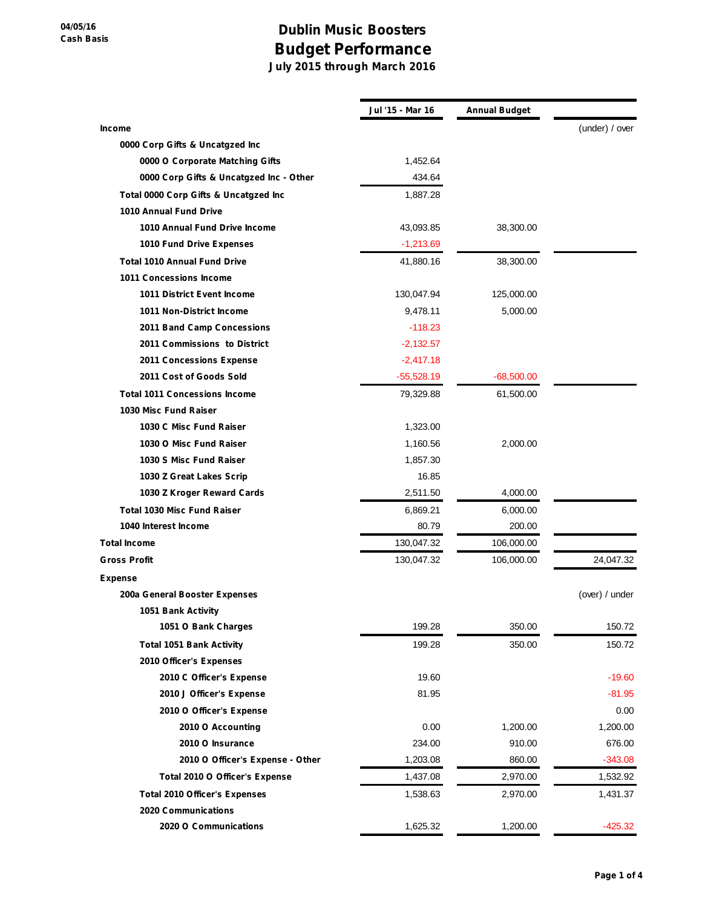## **Dublin Music Boosters Budget Performance**

**July 2015 through March 2016**

|                                         | Jul '15 - Mar 16 | <b>Annual Budget</b> |                |
|-----------------------------------------|------------------|----------------------|----------------|
| <b>Income</b>                           |                  |                      | (under) / over |
| 0000 Corp Gifts & Uncatgzed Inc         |                  |                      |                |
| 0000 O Corporate Matching Gifts         | 1,452.64         |                      |                |
| 0000 Corp Gifts & Uncatgzed Inc - Other | 434.64           |                      |                |
| Total 0000 Corp Gifts & Uncatgzed Inc   | 1,887.28         |                      |                |
| 1010 Annual Fund Drive                  |                  |                      |                |
| 1010 Annual Fund Drive Income           | 43,093.85        | 38,300.00            |                |
| 1010 Fund Drive Expenses                | $-1,213.69$      |                      |                |
| <b>Total 1010 Annual Fund Drive</b>     | 41,880.16        | 38,300.00            |                |
| <b>1011 Concessions Income</b>          |                  |                      |                |
| <b>1011 District Event Income</b>       | 130,047.94       | 125,000.00           |                |
| 1011 Non-District Income                | 9,478.11         | 5,000.00             |                |
| 2011 Band Camp Concessions              | $-118.23$        |                      |                |
| 2011 Commissions to District            | $-2,132.57$      |                      |                |
| 2011 Concessions Expense                | $-2,417.18$      |                      |                |
| 2011 Cost of Goods Sold                 | $-55,528.19$     | $-68,500.00$         |                |
| <b>Total 1011 Concessions Income</b>    | 79,329.88        | 61,500.00            |                |
| 1030 Misc Fund Raiser                   |                  |                      |                |
| 1030 C Misc Fund Raiser                 | 1,323.00         |                      |                |
| 1030 O Misc Fund Raiser                 | 1,160.56         | 2,000.00             |                |
| 1030 S Misc Fund Raiser                 | 1,857.30         |                      |                |
| 1030 Z Great Lakes Scrip                | 16.85            |                      |                |
| 1030 Z Kroger Reward Cards              | 2,511.50         | 4,000.00             |                |
| <b>Total 1030 Misc Fund Raiser</b>      | 6,869.21         | 6,000.00             |                |
| 1040 Interest Income                    | 80.79            | 200.00               |                |
| <b>Total Income</b>                     | 130,047.32       | 106,000.00           |                |
| <b>Gross Profit</b>                     | 130,047.32       | 106,000.00           | 24,047.32      |
| <b>Expense</b>                          |                  |                      |                |
| 200a General Booster Expenses           |                  |                      | (over) / under |
| 1051 Bank Activity                      |                  |                      |                |
| 1051 O Bank Charges                     | 199.28           | 350.00               | 150.72         |
| <b>Total 1051 Bank Activity</b>         | 199.28           | 350.00               | 150.72         |
| 2010 Officer's Expenses                 |                  |                      |                |
| 2010 C Officer's Expense                | 19.60            |                      | $-19.60$       |
| 2010 J Officer's Expense                | 81.95            |                      | $-81.95$       |
| 2010 O Officer's Expense                |                  |                      | 0.00           |
| 2010 O Accounting                       | 0.00             | 1,200.00             | 1,200.00       |
| 2010 O Insurance                        | 234.00           | 910.00               | 676.00         |
| 2010 O Officer's Expense - Other        | 1,203.08         | 860.00               | $-343.08$      |
| Total 2010 O Officer's Expense          | 1,437.08         | 2,970.00             | 1,532.92       |
| <b>Total 2010 Officer's Expenses</b>    | 1,538.63         | 2,970.00             | 1,431.37       |
| <b>2020 Communications</b>              |                  |                      |                |
| 2020 O Communications                   | 1,625.32         | 1,200.00             | $-425.32$      |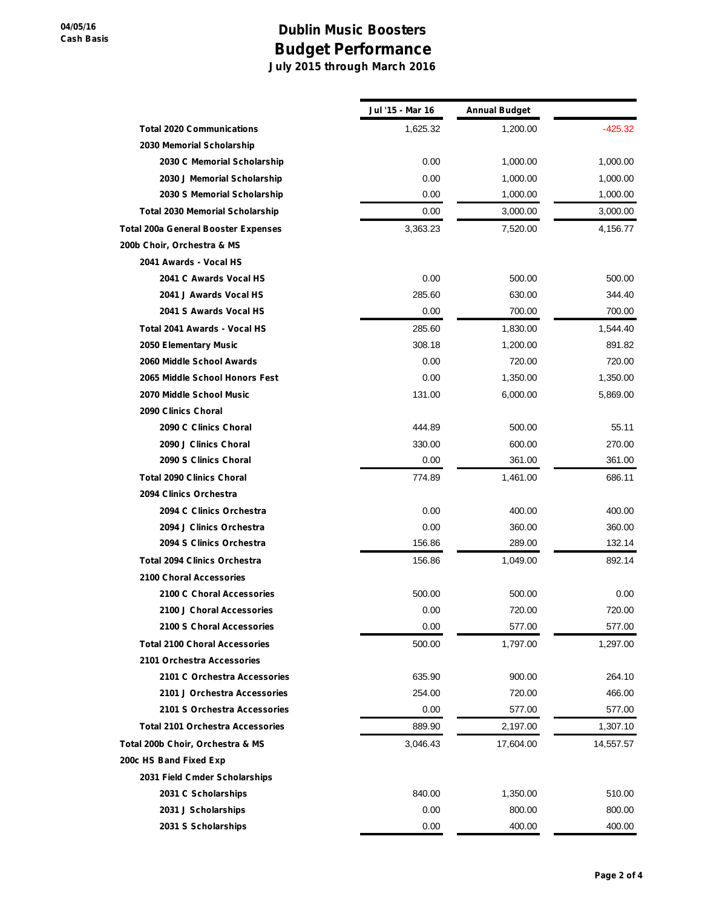## **Dublin Music Boosters Budget Performance July 2015 through March 2016**

|                                            | Jul '15 - Mar 16 | <b>Annual Budget</b> |           |
|--------------------------------------------|------------------|----------------------|-----------|
| <b>Total 2020 Communications</b>           | 1,625.32         | 1,200.00             | $-425.32$ |
| 2030 Memorial Scholarship                  |                  |                      |           |
| 2030 C Memorial Scholarship                | 0.00             | 1,000.00             | 1,000.00  |
| 2030 J Memorial Scholarship                | 0.00             | 1,000.00             | 1,000.00  |
| 2030 S Memorial Scholarship                | 0.00             | 1,000.00             | 1,000.00  |
| <b>Total 2030 Memorial Scholarship</b>     | 0.00             | 3,000.00             | 3,000.00  |
| <b>Total 200a General Booster Expenses</b> | 3,363.23         | 7,520.00             | 4,156.77  |
| 200b Choir, Orchestra & MS                 |                  |                      |           |
| 2041 Awards - Vocal HS                     |                  |                      |           |
| 2041 C Awards Vocal HS                     | 0.00             | 500.00               | 500.00    |
| 2041 J Awards Vocal HS                     | 285.60           | 630.00               | 344.40    |
| 2041 S Awards Vocal HS                     | 0.00             | 700.00               | 700.00    |
| Total 2041 Awards - Vocal HS               | 285.60           | 1,830.00             | 1,544.40  |
| 2050 Elementary Music                      | 308.18           | 1,200.00             | 891.82    |
| 2060 Middle School Awards                  | 0.00             | 720.00               | 720.00    |
| 2065 Middle School Honors Fest             | 0.00             | 1,350.00             | 1,350.00  |
| 2070 Middle School Music                   | 131.00           | 6,000.00             | 5,869.00  |
| 2090 Clinics Choral                        |                  |                      |           |
| 2090 C Clinics Choral                      | 444.89           | 500.00               | 55.11     |
| 2090 J Clinics Choral                      | 330.00           | 600.00               | 270.00    |
| 2090 S Clinics Choral                      | 0.00             | 361.00               | 361.00    |
| <b>Total 2090 Clinics Choral</b>           | 774.89           | 1,461.00             | 686.11    |
| 2094 Clinics Orchestra                     |                  |                      |           |
| 2094 C Clinics Orchestra                   | 0.00             | 400.00               | 400.00    |
| 2094 J Clinics Orchestra                   | 0.00             | 360.00               | 360.00    |
| 2094 S Clinics Orchestra                   | 156.86           | 289.00               | 132.14    |
| <b>Total 2094 Clinics Orchestra</b>        | 156.86           | 1,049.00             | 892.14    |
| 2100 Choral Accessories                    |                  |                      |           |
| 2100 C Choral Accessories                  | 500.00           | 500.00               | 0.00      |
| 2100 J Choral Accessories                  | 0.00             | 720.00               | 720.00    |
| 2100 S Choral Accessories                  | 0.00             | 577.00               | 577.00    |
| <b>Total 2100 Choral Accessories</b>       | 500.00           | 1,797.00             | 1,297.00  |
| 2101 Orchestra Accessories                 |                  |                      |           |
| 2101 C Orchestra Accessories               | 635.90           | 900.00               | 264.10    |
| 2101 J Orchestra Accessories               | 254.00           | 720.00               | 466.00    |
| 2101 S Orchestra Accessories               | 0.00             | 577.00               | 577.00    |
| <b>Total 2101 Orchestra Accessories</b>    | 889.90           | 2,197.00             | 1,307.10  |
| Total 200b Choir, Orchestra & MS           | 3,046.43         | 17,604.00            | 14,557.57 |
| 200c HS Band Fixed Exp                     |                  |                      |           |
| 2031 Field Cmder Scholarships              |                  |                      |           |
| 2031 C Scholarships                        | 840.00           | 1,350.00             | 510.00    |
| 2031 J Scholarships                        | 0.00             | 800.00               | 800.00    |
| 2031 S Scholarships                        | 0.00             | 400.00               | 400.00    |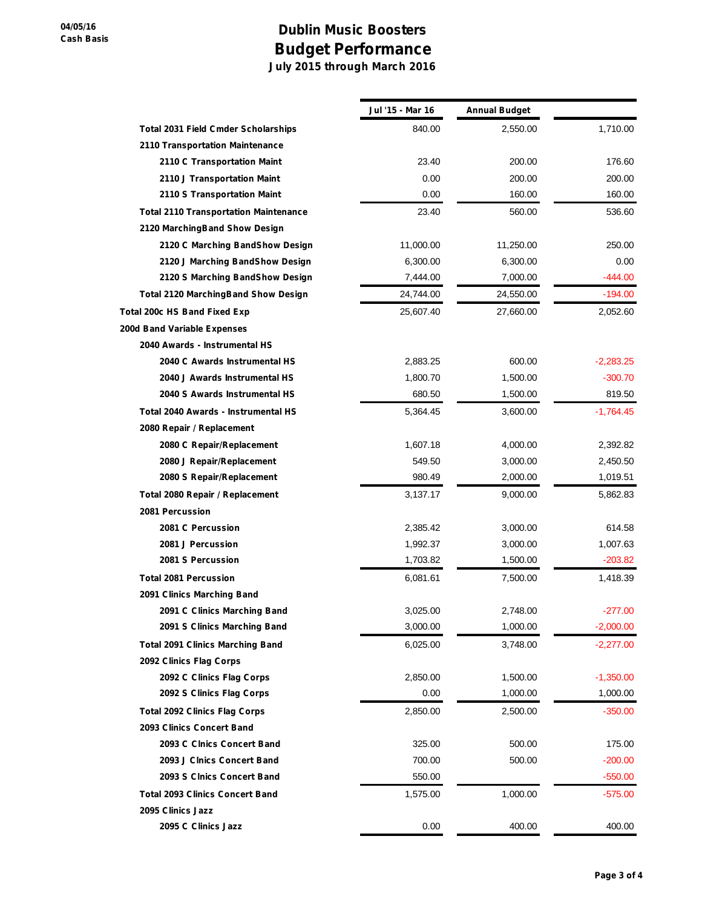## **Dublin Music Boosters Budget Performance July 2015 through March 2016**

|                                              | Jul '15 - Mar 16 | <b>Annual Budget</b> |             |
|----------------------------------------------|------------------|----------------------|-------------|
| <b>Total 2031 Field Cmder Scholarships</b>   | 840.00           | 2,550.00             | 1,710.00    |
| 2110 Transportation Maintenance              |                  |                      |             |
| 2110 C Transportation Maint                  | 23.40            | 200.00               | 176.60      |
| 2110 J Transportation Maint                  | 0.00             | 200.00               | 200.00      |
| 2110 S Transportation Maint                  | 0.00             | 160.00               | 160.00      |
| <b>Total 2110 Transportation Maintenance</b> | 23.40            | 560.00               | 536.60      |
| 2120 MarchingBand Show Design                |                  |                      |             |
| 2120 C Marching BandShow Design              | 11,000.00        | 11,250.00            | 250.00      |
| 2120 J Marching BandShow Design              | 6,300.00         | 6,300.00             | 0.00        |
| 2120 S Marching BandShow Design              | 7,444.00         | 7,000.00             | $-444.00$   |
| <b>Total 2120 MarchingBand Show Design</b>   | 24,744.00        | 24,550.00            | -194.00     |
| Total 200c HS Band Fixed Exp                 | 25,607.40        | 27,660.00            | 2,052.60    |
| 200d Band Variable Expenses                  |                  |                      |             |
| 2040 Awards - Instrumental HS                |                  |                      |             |
| 2040 C Awards Instrumental HS                | 2,883.25         | 600.00               | $-2,283.25$ |
| 2040 J Awards Instrumental HS                | 1,800.70         | 1,500.00             | $-300.70$   |
| 2040 S Awards Instrumental HS                | 680.50           | 1,500.00             | 819.50      |
| Total 2040 Awards - Instrumental HS          | 5,364.45         | 3,600.00             | $-1,764.45$ |
| 2080 Repair / Replacement                    |                  |                      |             |
| 2080 C Repair/Replacement                    | 1,607.18         | 4,000.00             | 2,392.82    |
| 2080 J Repair/Replacement                    | 549.50           | 3,000.00             | 2,450.50    |
| 2080 S Repair/Replacement                    | 980.49           | 2,000.00             | 1,019.51    |
| Total 2080 Repair / Replacement              | 3,137.17         | 9,000.00             | 5,862.83    |
| 2081 Percussion                              |                  |                      |             |
| 2081 C Percussion                            | 2,385.42         | 3,000.00             | 614.58      |
| 2081 J Percussion                            | 1,992.37         | 3,000.00             | 1,007.63    |
| 2081 S Percussion                            | 1,703.82         | 1,500.00             | $-203.82$   |
| <b>Total 2081 Percussion</b>                 | 6,081.61         | 7,500.00             | 1,418.39    |
| 2091 Clinics Marching Band                   |                  |                      |             |
| 2091 C Clinics Marching Band                 | 3,025.00         | 2,748.00             | $-277.00$   |
| 2091 S Clinics Marching Band                 | 3,000.00         | 1,000.00             | $-2,000.00$ |
| <b>Total 2091 Clinics Marching Band</b>      | 6,025.00         | 3,748.00             | $-2,277.00$ |
| 2092 Clinics Flag Corps                      |                  |                      |             |
| 2092 C Clinics Flag Corps                    | 2,850.00         | 1,500.00             | $-1,350.00$ |
| 2092 S Clinics Flag Corps                    | 0.00             | 1,000.00             | 1,000.00    |
| <b>Total 2092 Clinics Flag Corps</b>         | 2,850.00         | 2,500.00             | $-350.00$   |
| 2093 Clinics Concert Band                    |                  |                      |             |
| 2093 C Cinics Concert Band                   | 325.00           | 500.00               | 175.00      |
| 2093 J Clnics Concert Band                   | 700.00           | 500.00               | $-200.00$   |
| 2093 S Clnics Concert Band                   | 550.00           |                      | $-550.00$   |
| <b>Total 2093 Clinics Concert Band</b>       | 1,575.00         | 1,000.00             | $-575.00$   |
| 2095 Clinics Jazz                            |                  |                      |             |
| 2095 C Clinics Jazz                          | 0.00             | 400.00               | 400.00      |